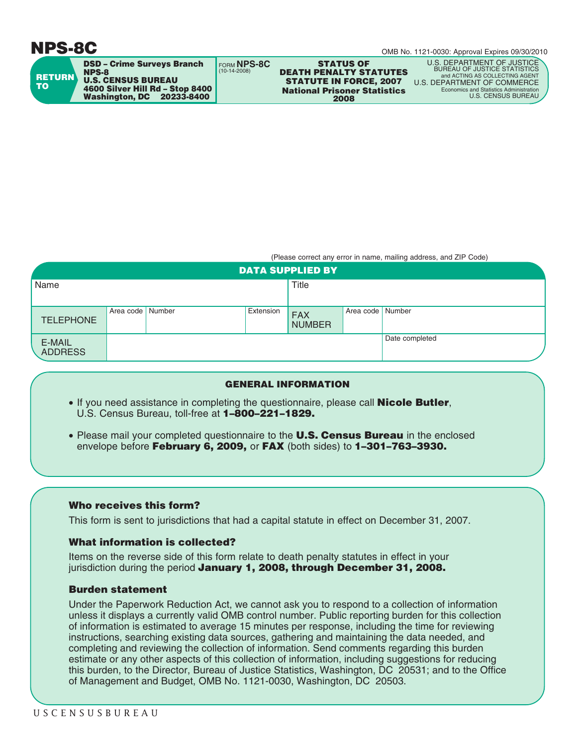# **NPS-8C**

OMB No. 1121-0030: Approval Expires 09/30/2010

| <b>RETURN</b><br><b>TO</b> | <b>DSD - Crime Surveys Branch</b><br><b>NPS-8</b><br><b>U.S. CENSUS BUREAU</b><br>4600 Silver Hill Rd - Stop 8400<br><b>Washington, DC</b><br>20233-8400 | FORM NPS-8C<br>$(10-14-2008)$ | <b>STATUS OF</b><br><b>DEATH PENALTY STATUTES</b><br><b>STATUTE IN FORCE, 2007</b><br><b>National Prisoner Statistics</b><br>2008 | U.S. DEPARTMENT OF JUSTICE<br><b>BUREAU OF JUSTICE STATISTICS</b><br>and ACTING AS COLLECTING AGENT<br>U.S. DEPARTMENT OF COMMERCE<br>Economics and Statistics Administration<br>U.S. CENSUS BUREAU |
|----------------------------|----------------------------------------------------------------------------------------------------------------------------------------------------------|-------------------------------|-----------------------------------------------------------------------------------------------------------------------------------|-----------------------------------------------------------------------------------------------------------------------------------------------------------------------------------------------------|
|                            |                                                                                                                                                          |                               |                                                                                                                                   |                                                                                                                                                                                                     |

(Please correct any error in name, mailing address, and ZIP Code)

| <b>DATA SUPPLIED BY</b>  |                    |  |              |                             |                    |                |  |
|--------------------------|--------------------|--|--------------|-----------------------------|--------------------|----------------|--|
| Name                     |                    |  | <b>Title</b> |                             |                    |                |  |
|                          |                    |  |              |                             |                    |                |  |
| <b>TELEPHONE</b>         | Area code   Number |  | Extension    | <b>FAX</b><br><b>NUMBER</b> | Area code   Number |                |  |
| E-MAIL<br><b>ADDRESS</b> |                    |  |              |                             |                    | Date completed |  |

#### **GENERAL INFORMATION**

- If you need assistance in completing the questionnaire, please call **Nicole Butler**, U.S. Census Bureau, toll-free at **1–800–221–1829.**
- Please mail your completed questionnaire to the **U.S. Census Bureau** in the enclosed envelope before **February 6, 2009,** or **FAX** (both sides) to **1–301–763–3930.**

### **Who receives this form?**

This form is sent to jurisdictions that had a capital statute in effect on December 31, 2007.

## **What information is collected?**

Items on the reverse side of this form relate to death penalty statutes in effect in your jurisdiction during the period **January 1, 2008, through December 31, 2008.**

### **Burden statement**

Under the Paperwork Reduction Act, we cannot ask you to respond to a collection of information unless it displays a currently valid OMB control number. Public reporting burden for this collection of information is estimated to average 15 minutes per response, including the time for reviewing instructions, searching existing data sources, gathering and maintaining the data needed, and completing and reviewing the collection of information. Send comments regarding this burden estimate or any other aspects of this collection of information, including suggestions for reducing this burden, to the Director, Bureau of Justice Statistics, Washington, DC 20531; and to the Office of Management and Budget, OMB No. 1121-0030, Washington, DC 20503.